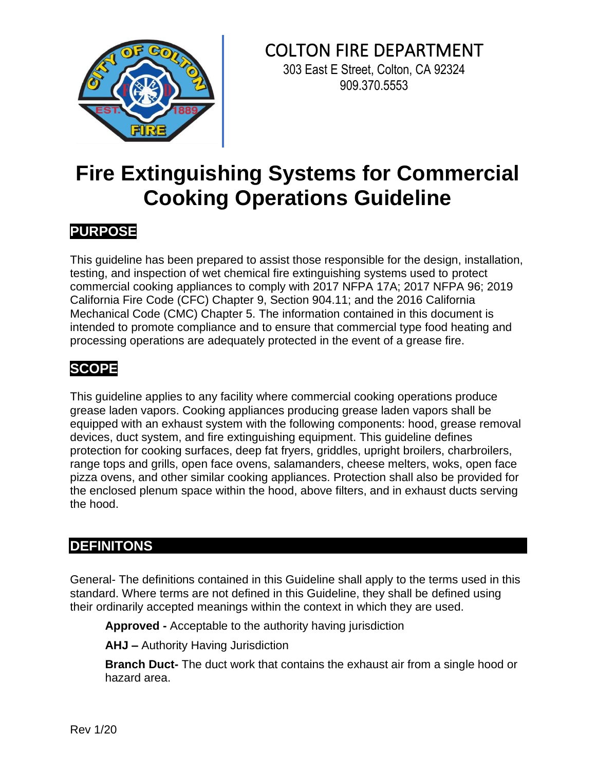

## COLTON FIRE DEPARTMENT

303 East E Street, Colton, CA 92324 909.370.5553

# **Fire Extinguishing Systems for Commercial Cooking Operations Guideline**

## **PURPOSE**

This guideline has been prepared to assist those responsible for the design, installation, testing, and inspection of wet chemical fire extinguishing systems used to protect commercial cooking appliances to comply with 2017 NFPA 17A; 2017 NFPA 96; 2019 California Fire Code (CFC) Chapter 9, Section 904.11; and the 2016 California Mechanical Code (CMC) Chapter 5. The information contained in this document is intended to promote compliance and to ensure that commercial type food heating and processing operations are adequately protected in the event of a grease fire.

## **SCOPE**

This guideline applies to any facility where commercial cooking operations produce grease laden vapors. Cooking appliances producing grease laden vapors shall be equipped with an exhaust system with the following components: hood, grease removal devices, duct system, and fire extinguishing equipment. This guideline defines protection for cooking surfaces, deep fat fryers, griddles, upright broilers, charbroilers, range tops and grills, open face ovens, salamanders, cheese melters, woks, open face pizza ovens, and other similar cooking appliances. Protection shall also be provided for the enclosed plenum space within the hood, above filters, and in exhaust ducts serving the hood.

### **DEFINITONS**

General- The definitions contained in this Guideline shall apply to the terms used in this standard. Where terms are not defined in this Guideline, they shall be defined using their ordinarily accepted meanings within the context in which they are used.

**Approved -** Acceptable to the authority having jurisdiction

**AHJ –** Authority Having Jurisdiction

**Branch Duct-** The duct work that contains the exhaust air from a single hood or hazard area.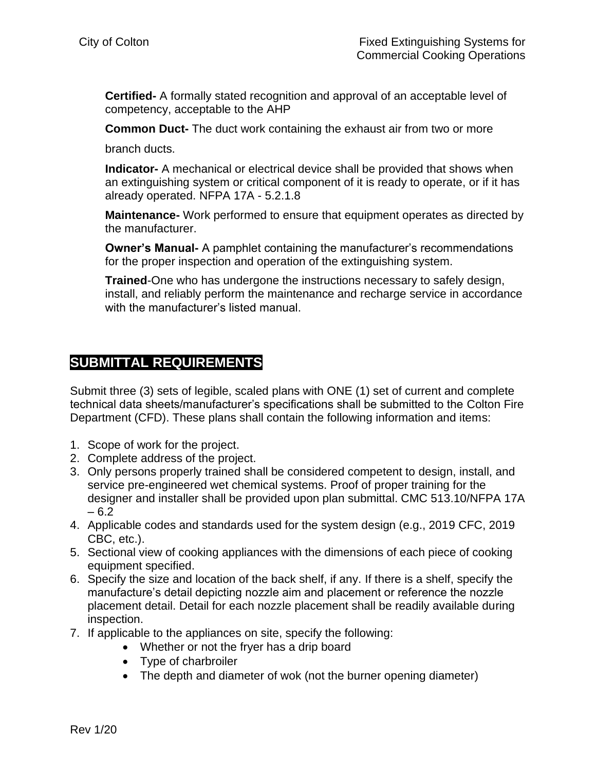**Certified-** A formally stated recognition and approval of an acceptable level of competency, acceptable to the AHP

**Common Duct-** The duct work containing the exhaust air from two or more

branch ducts.

**Indicator-** A mechanical or electrical device shall be provided that shows when an extinguishing system or critical component of it is ready to operate, or if it has already operated. NFPA 17A - 5.2.1.8

**Maintenance-** Work performed to ensure that equipment operates as directed by the manufacturer.

**Owner's Manual-** A pamphlet containing the manufacturer's recommendations for the proper inspection and operation of the extinguishing system.

**Trained**-One who has undergone the instructions necessary to safely design, install, and reliably perform the maintenance and recharge service in accordance with the manufacturer's listed manual.

#### **SUBMITTAL REQUIREMENTS**

Submit three (3) sets of legible, scaled plans with ONE (1) set of current and complete technical data sheets/manufacturer's specifications shall be submitted to the Colton Fire Department (CFD). These plans shall contain the following information and items:

- 1. Scope of work for the project.
- 2. Complete address of the project.
- 3. Only persons properly trained shall be considered competent to design, install, and service pre-engineered wet chemical systems. Proof of proper training for the designer and installer shall be provided upon plan submittal. CMC 513.10/NFPA 17A – 6.2
- 4. Applicable codes and standards used for the system design (e.g., 2019 CFC, 2019 CBC, etc.).
- 5. Sectional view of cooking appliances with the dimensions of each piece of cooking equipment specified.
- 6. Specify the size and location of the back shelf, if any. If there is a shelf, specify the manufacture's detail depicting nozzle aim and placement or reference the nozzle placement detail. Detail for each nozzle placement shall be readily available during inspection.
- 7. If applicable to the appliances on site, specify the following:
	- Whether or not the fryer has a drip board
	- Type of charbroiler
	- The depth and diameter of wok (not the burner opening diameter)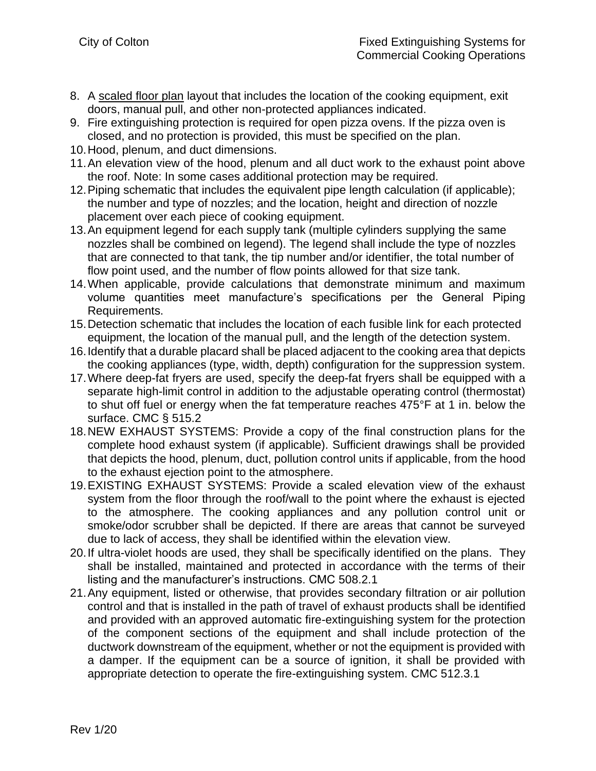- 8. A scaled floor plan layout that includes the location of the cooking equipment, exit doors, manual pull, and other non-protected appliances indicated.
- 9. Fire extinguishing protection is required for open pizza ovens. If the pizza oven is closed, and no protection is provided, this must be specified on the plan.
- 10.Hood, plenum, and duct dimensions.
- 11.An elevation view of the hood, plenum and all duct work to the exhaust point above the roof. Note: In some cases additional protection may be required.
- 12.Piping schematic that includes the equivalent pipe length calculation (if applicable); the number and type of nozzles; and the location, height and direction of nozzle placement over each piece of cooking equipment.
- 13.An equipment legend for each supply tank (multiple cylinders supplying the same nozzles shall be combined on legend). The legend shall include the type of nozzles that are connected to that tank, the tip number and/or identifier, the total number of flow point used, and the number of flow points allowed for that size tank.
- 14.When applicable, provide calculations that demonstrate minimum and maximum volume quantities meet manufacture's specifications per the General Piping Requirements.
- 15.Detection schematic that includes the location of each fusible link for each protected equipment, the location of the manual pull, and the length of the detection system.
- 16.Identify that a durable placard shall be placed adjacent to the cooking area that depicts the cooking appliances (type, width, depth) configuration for the suppression system.
- 17.Where deep-fat fryers are used, specify the deep-fat fryers shall be equipped with a separate high-limit control in addition to the adjustable operating control (thermostat) to shut off fuel or energy when the fat temperature reaches 475°F at 1 in. below the surface. CMC § 515.2
- 18.NEW EXHAUST SYSTEMS: Provide a copy of the final construction plans for the complete hood exhaust system (if applicable). Sufficient drawings shall be provided that depicts the hood, plenum, duct, pollution control units if applicable, from the hood to the exhaust ejection point to the atmosphere.
- 19.EXISTING EXHAUST SYSTEMS: Provide a scaled elevation view of the exhaust system from the floor through the roof/wall to the point where the exhaust is ejected to the atmosphere. The cooking appliances and any pollution control unit or smoke/odor scrubber shall be depicted. If there are areas that cannot be surveyed due to lack of access, they shall be identified within the elevation view.
- 20.If ultra-violet hoods are used, they shall be specifically identified on the plans. They shall be installed, maintained and protected in accordance with the terms of their listing and the manufacturer's instructions. CMC 508.2.1
- 21.Any equipment, listed or otherwise, that provides secondary filtration or air pollution control and that is installed in the path of travel of exhaust products shall be identified and provided with an approved automatic fire-extinguishing system for the protection of the component sections of the equipment and shall include protection of the ductwork downstream of the equipment, whether or not the equipment is provided with a damper. If the equipment can be a source of ignition, it shall be provided with appropriate detection to operate the fire-extinguishing system. CMC 512.3.1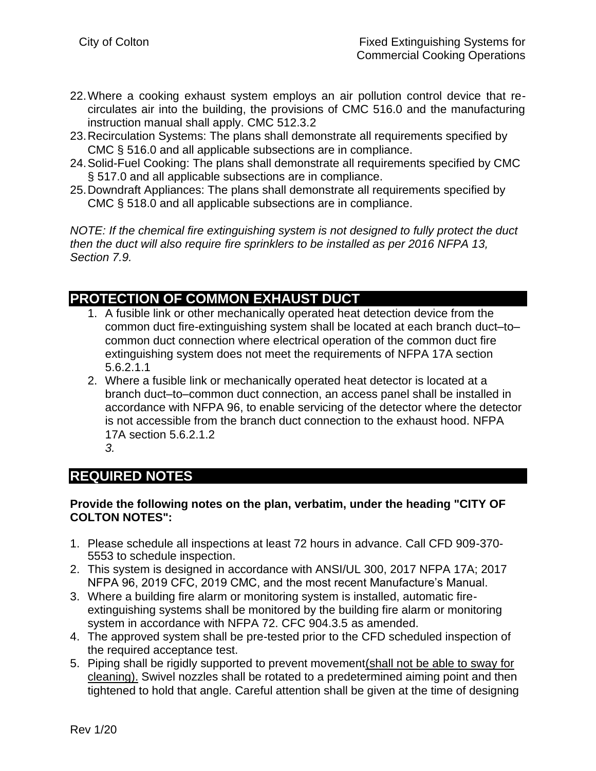- 22.Where a cooking exhaust system employs an air pollution control device that recirculates air into the building, the provisions of CMC 516.0 and the manufacturing instruction manual shall apply. CMC 512.3.2
- 23.Recirculation Systems: The plans shall demonstrate all requirements specified by CMC § 516.0 and all applicable subsections are in compliance.
- 24.Solid-Fuel Cooking: The plans shall demonstrate all requirements specified by CMC § 517.0 and all applicable subsections are in compliance.
- 25.Downdraft Appliances: The plans shall demonstrate all requirements specified by CMC § 518.0 and all applicable subsections are in compliance.

*NOTE: If the chemical fire extinguishing system is not designed to fully protect the duct then the duct will also require fire sprinklers to be installed as per 2016 NFPA 13, Section 7.9.* 

#### **PROTECTION OF COMMON EXHAUST DUCT**

- 1. A fusible link or other mechanically operated heat detection device from the common duct fire-extinguishing system shall be located at each branch duct–to– common duct connection where electrical operation of the common duct fire extinguishing system does not meet the requirements of NFPA 17A section 5.6.2.1.1
- 2. Where a fusible link or mechanically operated heat detector is located at a branch duct–to–common duct connection, an access panel shall be installed in accordance with NFPA 96, to enable servicing of the detector where the detector is not accessible from the branch duct connection to the exhaust hood. NFPA 17A section 5.6.2.1.2 *3.*

## **REQUIRED NOTES**

#### **Provide the following notes on the plan, verbatim, under the heading "CITY OF COLTON NOTES":**

- 1. Please schedule all inspections at least 72 hours in advance. Call CFD 909-370- 5553 to schedule inspection.
- 2. This system is designed in accordance with ANSI/UL 300, 2017 NFPA 17A; 2017 NFPA 96, 2019 CFC, 2019 CMC, and the most recent Manufacture's Manual.
- 3. Where a building fire alarm or monitoring system is installed, automatic fireextinguishing systems shall be monitored by the building fire alarm or monitoring system in accordance with NFPA 72. CFC 904.3.5 as amended.
- 4. The approved system shall be pre-tested prior to the CFD scheduled inspection of the required acceptance test.
- 5. Piping shall be rigidly supported to prevent movement(shall not be able to sway for cleaning). Swivel nozzles shall be rotated to a predetermined aiming point and then tightened to hold that angle. Careful attention shall be given at the time of designing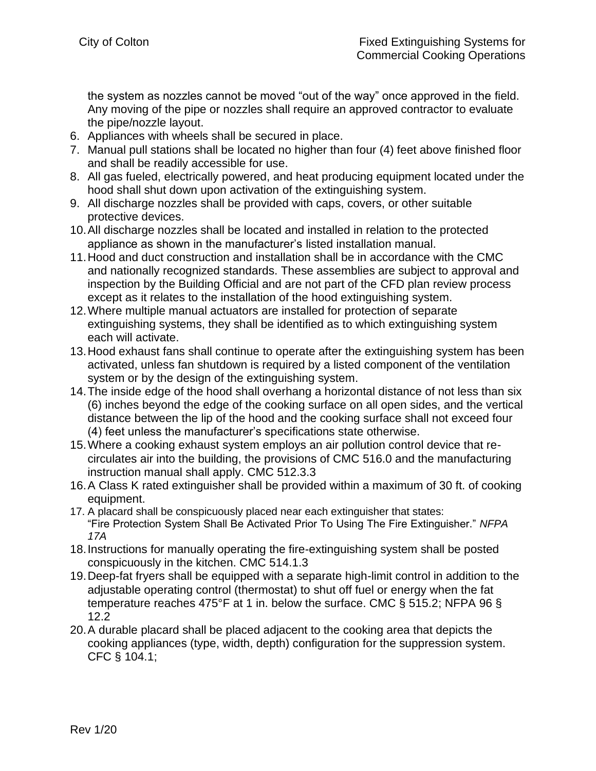the system as nozzles cannot be moved "out of the way" once approved in the field. Any moving of the pipe or nozzles shall require an approved contractor to evaluate the pipe/nozzle layout.

- 6. Appliances with wheels shall be secured in place.
- 7. Manual pull stations shall be located no higher than four (4) feet above finished floor and shall be readily accessible for use.
- 8. All gas fueled, electrically powered, and heat producing equipment located under the hood shall shut down upon activation of the extinguishing system.
- 9. All discharge nozzles shall be provided with caps, covers, or other suitable protective devices.
- 10.All discharge nozzles shall be located and installed in relation to the protected appliance as shown in the manufacturer's listed installation manual.
- 11.Hood and duct construction and installation shall be in accordance with the CMC and nationally recognized standards. These assemblies are subject to approval and inspection by the Building Official and are not part of the CFD plan review process except as it relates to the installation of the hood extinguishing system.
- 12.Where multiple manual actuators are installed for protection of separate extinguishing systems, they shall be identified as to which extinguishing system each will activate.
- 13.Hood exhaust fans shall continue to operate after the extinguishing system has been activated, unless fan shutdown is required by a listed component of the ventilation system or by the design of the extinguishing system.
- 14.The inside edge of the hood shall overhang a horizontal distance of not less than six (6) inches beyond the edge of the cooking surface on all open sides, and the vertical distance between the lip of the hood and the cooking surface shall not exceed four (4) feet unless the manufacturer's specifications state otherwise.
- 15.Where a cooking exhaust system employs an air pollution control device that recirculates air into the building, the provisions of CMC 516.0 and the manufacturing instruction manual shall apply. CMC 512.3.3
- 16.A Class K rated extinguisher shall be provided within a maximum of 30 ft. of cooking equipment.
- 17. A placard shall be conspicuously placed near each extinguisher that states: "Fire Protection System Shall Be Activated Prior To Using The Fire Extinguisher." *NFPA 17A*
- 18.Instructions for manually operating the fire-extinguishing system shall be posted conspicuously in the kitchen. CMC 514.1.3
- 19.Deep-fat fryers shall be equipped with a separate high-limit control in addition to the adjustable operating control (thermostat) to shut off fuel or energy when the fat temperature reaches 475°F at 1 in. below the surface. CMC § 515.2; NFPA 96 § 12.2
- 20.A durable placard shall be placed adjacent to the cooking area that depicts the cooking appliances (type, width, depth) configuration for the suppression system. CFC § 104.1;